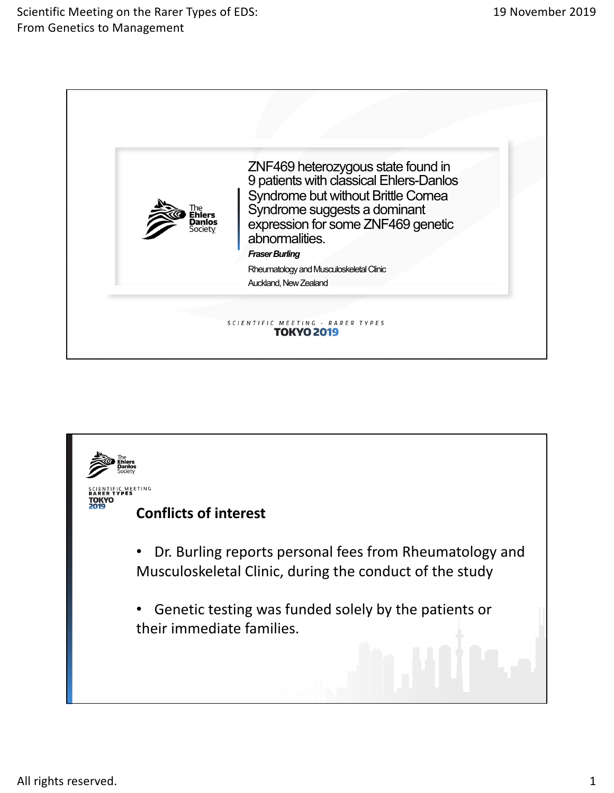Scientific Meeting on the Rarer Types of EDS: From Genetics to Management



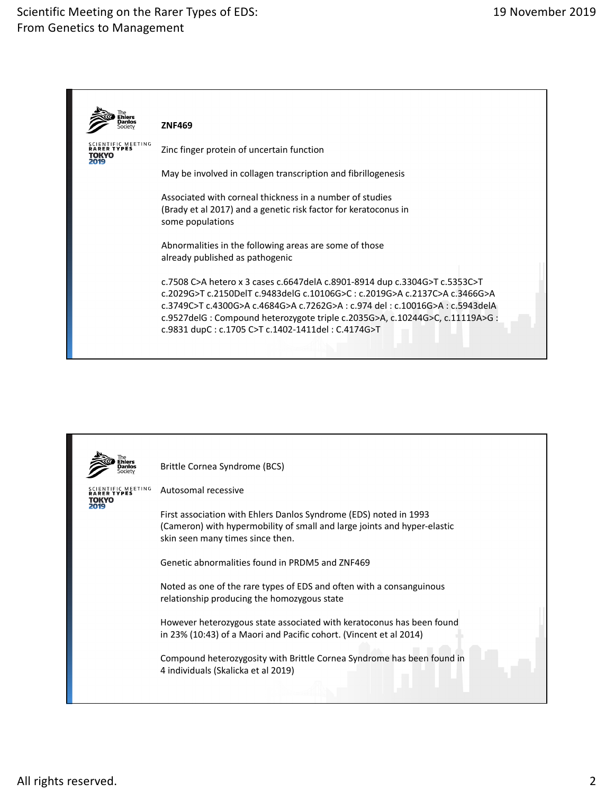## Scientific Meeting on the Rarer Types of EDS: From Genetics to Management



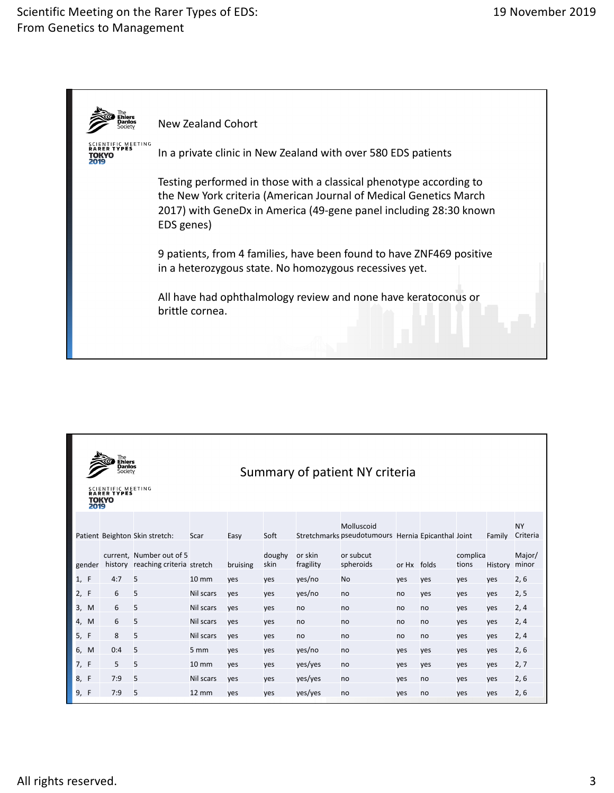## Scientific Meeting on the Rarer Types of EDS: From Genetics to Management



| The<br><b>Ehlers</b><br>Danlos<br>Summary of patient NY criteria<br>Society<br><b>SCIENTIFIC MEETING</b><br>RARER TYPES<br>τοκγο<br>2019 |     |                                                               |                   |          |                |                      |                                                                  |             |     |                   |         |                       |
|------------------------------------------------------------------------------------------------------------------------------------------|-----|---------------------------------------------------------------|-------------------|----------|----------------|----------------------|------------------------------------------------------------------|-------------|-----|-------------------|---------|-----------------------|
|                                                                                                                                          |     | Patient Beighton Skin stretch:                                | Scar              | Easy     | Soft           |                      | Molluscoid<br>Stretchmarks pseudotumours Hernia Epicanthal Joint |             |     |                   | Family  | <b>NY</b><br>Criteria |
| gender                                                                                                                                   |     | current, Number out of 5<br>history reaching criteria stretch |                   | bruising | doughy<br>skin | or skin<br>fragility | or subcut<br>spheroids                                           | or Hx folds |     | complica<br>tions | History | Major/<br>minor       |
| 1, F                                                                                                                                     | 4:7 | 5                                                             | $10 \, \text{mm}$ | yes      | ves            | yes/no               | <b>No</b>                                                        | yes         | yes | yes               | yes     | 2, 6                  |
| 2, F                                                                                                                                     | 6   | 5                                                             | Nil scars         | yes      | yes            | yes/no               | no                                                               | no          | yes | yes               | ves     | 2, 5                  |
| 3, M                                                                                                                                     | 6   | 5                                                             | Nil scars         | yes      | yes            | no                   | no                                                               | no          | no  | yes               | ves     | 2, 4                  |
| 4, M                                                                                                                                     | 6   | 5                                                             | Nil scars         | yes      | ves            | no                   | no                                                               | no          | no  | yes               | yes     | 2, 4                  |
| 5, F                                                                                                                                     | 8   | 5                                                             | Nil scars         | yes      | yes            | no                   | no                                                               | no          | no  | yes               | ves     | 2, 4                  |
| 6, M                                                                                                                                     | 0:4 | 5                                                             | 5 mm              | yes      | yes            | yes/no               | no                                                               | yes         | yes | yes               | yes     | 2, 6                  |
| 7, F                                                                                                                                     | 5   | 5                                                             | $10 \, \text{mm}$ | yes      | yes            | yes/yes              | no                                                               | yes         | yes | yes               | yes     | 2, 7                  |
| F<br>8,                                                                                                                                  | 7:9 | 5                                                             | Nil scars         | yes      | yes            | yes/yes              | no                                                               | <b>ves</b>  | no  | yes               | ves     | 2, 6                  |
| 9, F                                                                                                                                     | 7:9 | 5                                                             | <b>12 mm</b>      | yes      | ves            | yes/yes              | no                                                               | <b>ves</b>  | no  | yes               | ves     | 2, 6                  |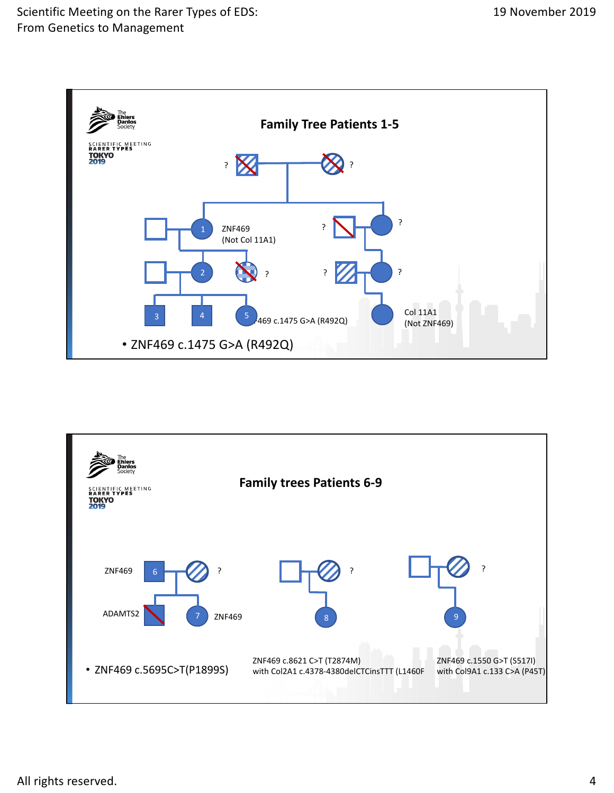

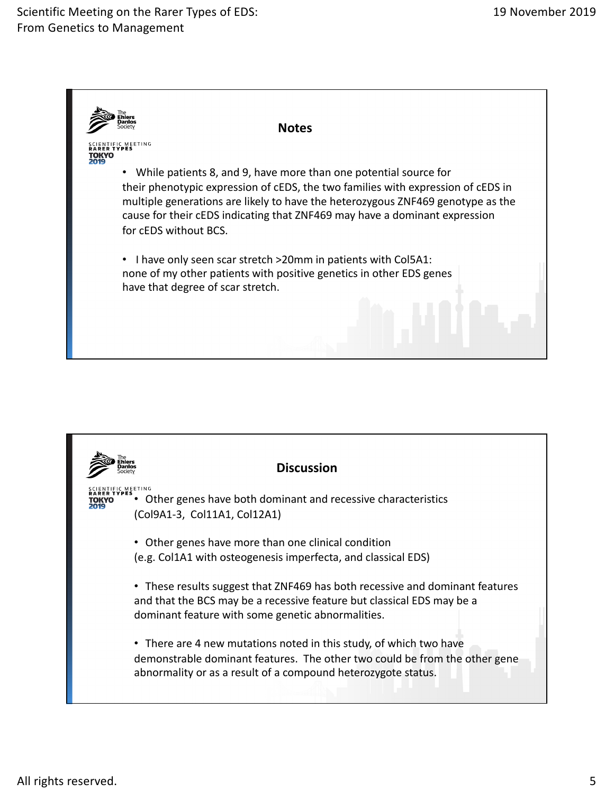

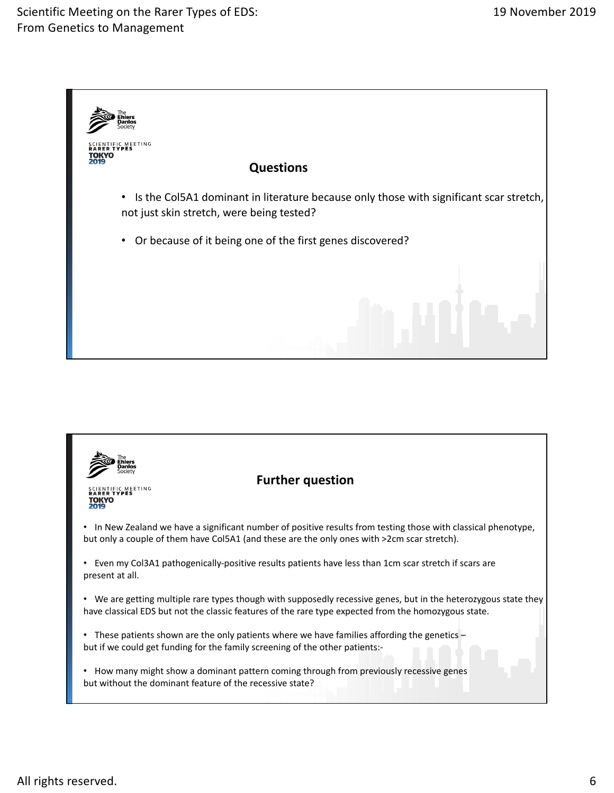